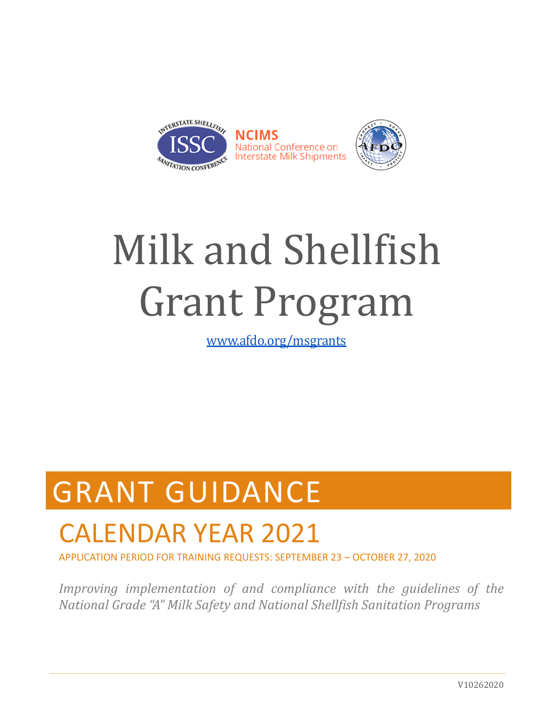

# Milk and Shellfish Grant Program

www.afdo.org/msgrants

## GRANT GUIDANCE

## CALENDAR YEAR 2021

APPLICATION PERIOD FOR TRAINING REQUESTS: SEPTEMBER 23 – OCTOBER 27, 2020

*Improving implementation of and compliance with the guidelines of the National Grade "A" Milk Safety and National Shellfish Sanitation Programs*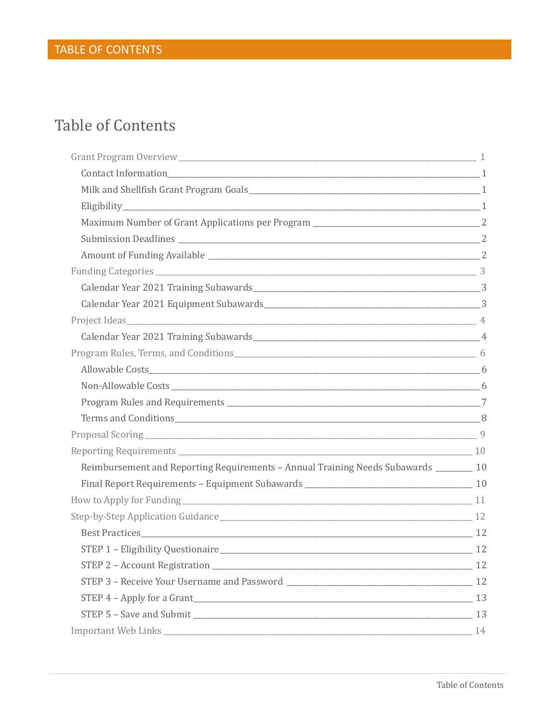## **Table of Contents**

| Terms and Conditions 8                                                                 |  |
|----------------------------------------------------------------------------------------|--|
| Proposal Scoring 9                                                                     |  |
|                                                                                        |  |
| Reimbursement and Reporting Requirements - Annual Training Needs Subawards ________ 10 |  |
|                                                                                        |  |
| How to Apply for Funding 11                                                            |  |
|                                                                                        |  |
|                                                                                        |  |
|                                                                                        |  |
|                                                                                        |  |
|                                                                                        |  |
| STEP 4 - Apply for a Grant 13                                                          |  |
| STEP 5 - Save and Submit 13                                                            |  |
|                                                                                        |  |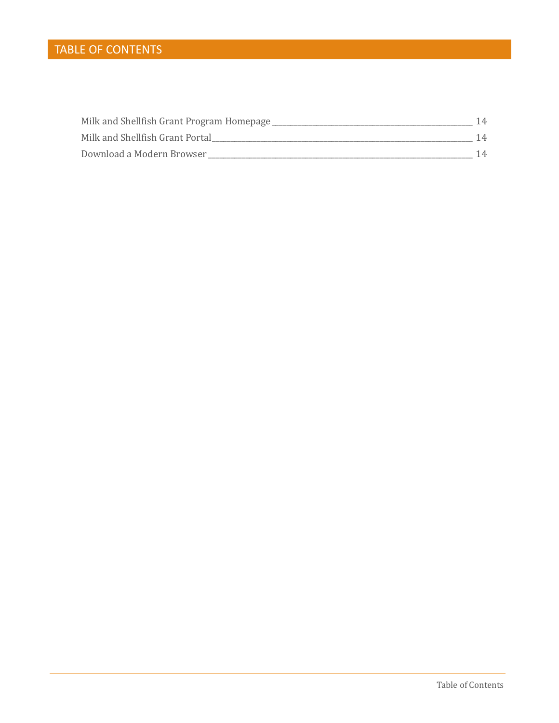### TABLE OF CONTENTS

| Milk and Shellfish Grant Program Homepage |  |
|-------------------------------------------|--|
| Milk and Shellfish Grant Portal           |  |
| Download a Modern Browser                 |  |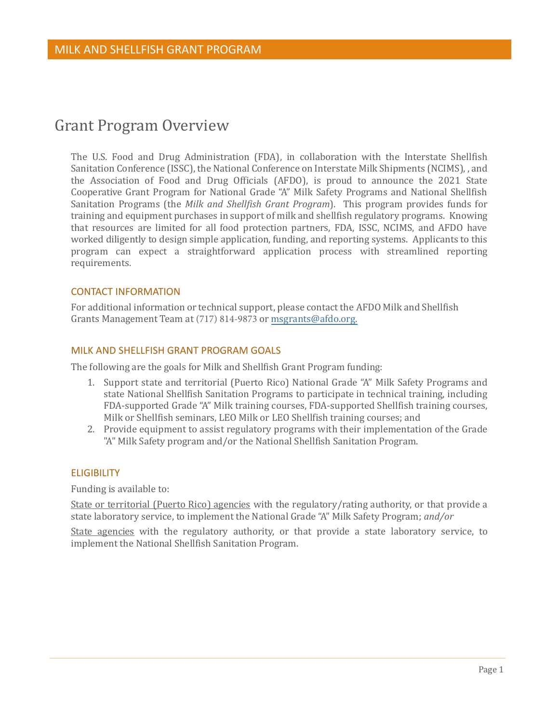## <span id="page-3-0"></span>Grant Program Overview

The U.S. Food and Drug Administration (FDA), in collaboration with the Interstate Shellfish Sanitation Conference (ISSC), the National Conference on Interstate Milk Shipments (NCIMS), , and the Association of Food and Drug Officials (AFDO), is proud to announce the 2021 State Cooperative Grant Program for National Grade "A" Milk Safety Programs and National Shellfish Sanitation Programs (the *Milk and Shellfish Grant Program*). This program provides funds for training and equipment purchases in support of milk and shellfish regulatory programs. Knowing that resources are limited for all food protection partners, FDA, ISSC, NCIMS, and AFDO have worked diligently to design simple application, funding, and reporting systems. Applicants to this program can expect a straightforward application process with streamlined reporting requirements.

#### <span id="page-3-1"></span>CONTACT INFORMATION

For additional information or technical support, please contact the AFDO Milk and Shellfish Grants Management Team at (717) 814-9873 or [msgrants@afdo.org.](mailto:msgrants@afdo.org)

#### <span id="page-3-2"></span>MILK AND SHELLFISH GRANT PROGRAM GOALS

The following are the goals for Milk and Shellfish Grant Program funding:

- 1. Support state and territorial (Puerto Rico) National Grade "A" Milk Safety Programs and state National Shellfish Sanitation Programs to participate in technical training, including FDA-supported Grade "A" Milk training courses, FDA-supported Shellfish training courses, Milk or Shellfish seminars, LEO Milk or LEO Shellfish training courses; and
- 2. Provide equipment to assist regulatory programs with their implementation of the Grade "A" Milk Safety program and/or the National Shellfish Sanitation Program.

#### <span id="page-3-3"></span>**ELIGIBILITY**

Funding is available to:

State or territorial (Puerto Rico) agencies with the regulatory/rating authority, or that provide a state laboratory service, to implement the National Grade "A" Milk Safety Program; *and/or*

State agencies with the regulatory authority, or that provide a state laboratory service, to implement the National Shellfish Sanitation Program.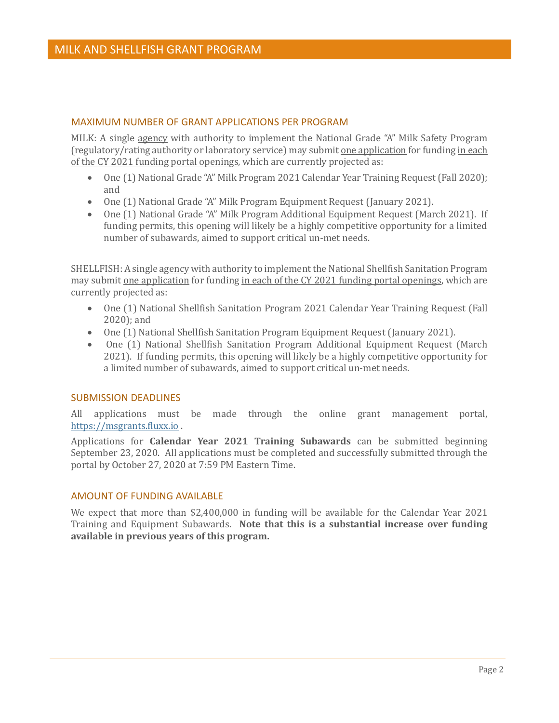#### <span id="page-4-0"></span>MAXIMUM NUMBER OF GRANT APPLICATIONS PER PROGRAM

MILK: A single agency with authority to implement the National Grade "A" Milk Safety Program (regulatory/rating authority or laboratory service) may submit one application for funding in each of the CY 2021 funding portal openings, which are currently projected as:

- One (1) National Grade "A" Milk Program 2021 Calendar Year Training Request (Fall 2020); and
- One (1) National Grade "A" Milk Program Equipment Request (January 2021).
- One (1) National Grade "A" Milk Program Additional Equipment Request (March 2021). If funding permits, this opening will likely be a highly competitive opportunity for a limited number of subawards, aimed to support critical un-met needs.

SHELLFISH: A single agency with authority to implement the National Shellfish Sanitation Program may submit one application for funding in each of the CY 2021 funding portal openings, which are currently projected as:

- One (1) National Shellfish Sanitation Program 2021 Calendar Year Training Request (Fall 2020); and
- One (1) National Shellfish Sanitation Program Equipment Request (January 2021).
- One (1) National Shellfish Sanitation Program Additional Equipment Request (March 2021). If funding permits, this opening will likely be a highly competitive opportunity for a limited number of subawards, aimed to support critical un-met needs.

#### <span id="page-4-1"></span>SUBMISSION DEADLINES

All applications must be made through the online grant management portal, [https://msgrants.fluxx.io](https://msgrants.fluxx.io/) .

Applications for **Calendar Year 2021 Training Subawards** can be submitted beginning September 23, 2020. All applications must be completed and successfully submitted through the portal by October 27, 2020 at 7:59 PM Eastern Time.

#### <span id="page-4-2"></span>AMOUNT OF FUNDING AVAILABLE

We expect that more than \$2,400,000 in funding will be available for the Calendar Year 2021 Training and Equipment Subawards. **Note that this is a substantial increase over funding available in previous years of this program.**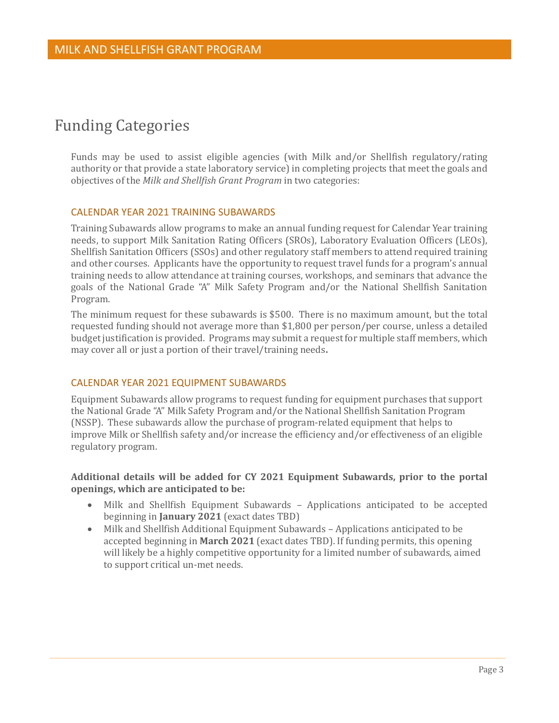## <span id="page-5-0"></span>Funding Categories

Funds may be used to assist eligible agencies (with Milk and/or Shellfish regulatory/rating authority or that provide a state laboratory service) in completing projects that meet the goals and objectives of the *Milk and Shellfish Grant Program* in two categories:

#### <span id="page-5-1"></span>CALENDAR YEAR 2021 TRAINING SUBAWARDS

Training Subawards allow programs to make an annual funding request for Calendar Year training needs, to support Milk Sanitation Rating Officers (SROs), Laboratory Evaluation Officers (LEOs), Shellfish Sanitation Officers (SSOs) and other regulatory staff members to attend required training and other courses. Applicants have the opportunity to request travel funds for a program's annual training needs to allow attendance at training courses, workshops, and seminars that advance the goals of the National Grade "A" Milk Safety Program and/or the National Shellfish Sanitation Program.

The minimum request for these subawards is \$500. There is no maximum amount, but the total requested funding should not average more than \$1,800 per person/per course, unless a detailed budget justification is provided. Programs may submit a request for multiple staff members, which may cover all or just a portion of their travel/training needs**.** 

#### <span id="page-5-2"></span>CALENDAR YEAR 2021 EQUIPMENT SUBAWARDS

Equipment Subawards allow programs to request funding for equipment purchases that support the National Grade "A" Milk Safety Program and/or the National Shellfish Sanitation Program (NSSP). These subawards allow the purchase of program-related equipment that helps to improve Milk or Shellfish safety and/or increase the efficiency and/or effectiveness of an eligible regulatory program.

#### **Additional details will be added for CY 2021 Equipment Subawards, prior to the portal openings, which are anticipated to be:**

- Milk and Shellfish Equipment Subawards Applications anticipated to be accepted beginning in **January 2021** (exact dates TBD)
- Milk and Shellfish Additional Equipment Subawards Applications anticipated to be accepted beginning in **March 2021** (exact dates TBD). If funding permits, this opening will likely be a highly competitive opportunity for a limited number of subawards, aimed to support critical un-met needs.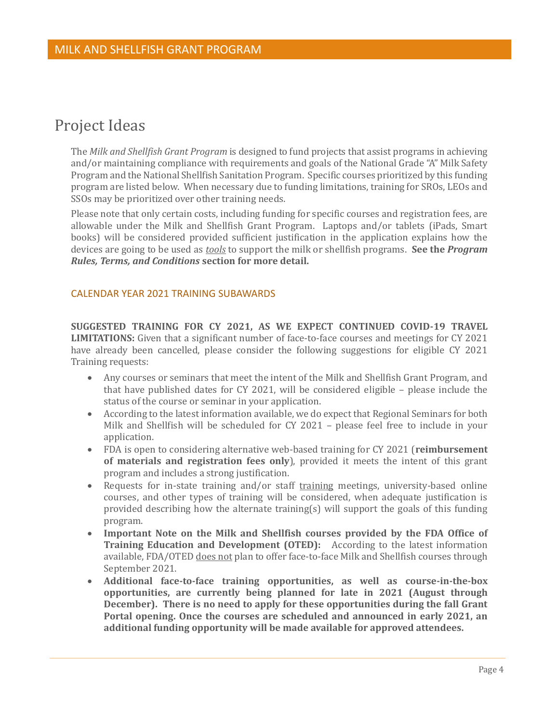## <span id="page-6-0"></span>Project Ideas

The *Milk and Shellfish Grant Program* is designed to fund projects that assist programs in achieving and/or maintaining compliance with requirements and goals of the National Grade "A" Milk Safety Program and the National Shellfish Sanitation Program. Specific courses prioritized by this funding program are listed below. When necessary due to funding limitations, training for SROs, LEOs and SSOs may be prioritized over other training needs.

Please note that only certain costs, including funding for specific courses and registration fees, are allowable under the Milk and Shellfish Grant Program. Laptops and/or tablets (iPads, Smart books) will be considered provided sufficient justification in the application explains how the devices are going to be used as *tools* to support the milk or shellfish programs. **See the** *Program Rules, Terms, and Conditions* **section for more detail.**

#### <span id="page-6-1"></span>CALENDAR YEAR 2021 TRAINING SUBAWARDS

**SUGGESTED TRAINING FOR CY 2021, AS WE EXPECT CONTINUED COVID-19 TRAVEL LIMITATIONS:** Given that a significant number of face-to-face courses and meetings for CY 2021 have already been cancelled, please consider the following suggestions for eligible CY 2021 Training requests:

- Any courses or seminars that meet the intent of the Milk and Shellfish Grant Program, and that have published dates for CY 2021, will be considered eligible – please include the status of the course or seminar in your application.
- According to the latest information available, we do expect that Regional Seminars for both Milk and Shellfish will be scheduled for CY 2021 – please feel free to include in your application.
- FDA is open to considering alternative web-based training for CY 2021 (**reimbursement of materials and registration fees only**), provided it meets the intent of this grant program and includes a strong justification.
- Requests for in-state training and/or staff training meetings, university-based online courses, and other types of training will be considered, when adequate justification is provided describing how the alternate training(s) will support the goals of this funding program.
- **Important Note on the Milk and Shellfish courses provided by the FDA Office of Training Education and Development (OTED):** According to the latest information available, FDA/OTED does not plan to offer face-to-face Milk and Shellfish courses through September 2021.
- **Additional face-to-face training opportunities, as well as course-in-the-box opportunities, are currently being planned for late in 2021 (August through December). There is no need to apply for these opportunities during the fall Grant Portal opening. Once the courses are scheduled and announced in early 2021, an additional funding opportunity will be made available for approved attendees.**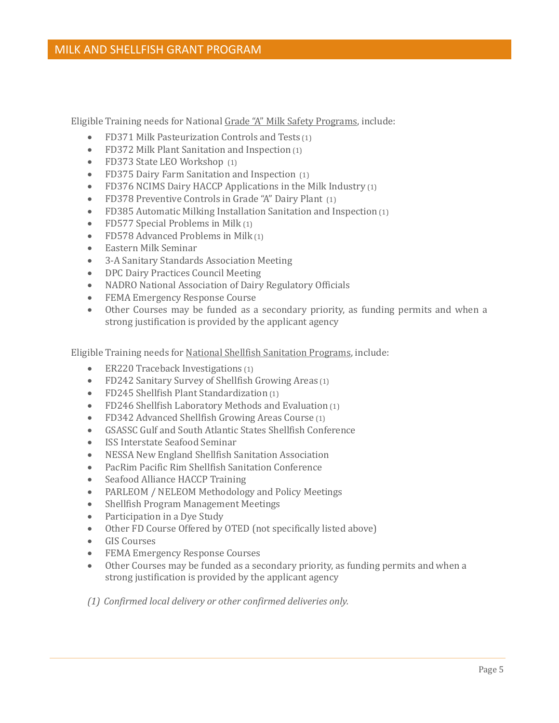Eligible Training needs for National Grade "A" Milk Safety Programs, include:

- FD371 Milk Pasteurization Controls and Tests (1)
- FD372 Milk Plant Sanitation and Inspection (1)
- FD373 State LEO Workshop (1)
- FD375 Dairy Farm Sanitation and Inspection (1)
- FD376 NCIMS Dairy HACCP Applications in the Milk Industry (1)
- FD378 Preventive Controls in Grade "A" Dairy Plant (1)
- FD385 Automatic Milking Installation Sanitation and Inspection (1)
- FD577 Special Problems in Milk (1)
- FD578 Advanced Problems in Milk (1)
- Eastern Milk Seminar
- 3-A Sanitary Standards Association Meeting
- DPC Dairy Practices Council Meeting
- NADRO National Association of Dairy Regulatory Officials
- FEMA Emergency Response Course
- Other Courses may be funded as a secondary priority, as funding permits and when a strong justification is provided by the applicant agency

Eligible Training needs for National Shellfish Sanitation Programs, include:

- ER220 Traceback Investigations (1)
- FD242 Sanitary Survey of Shellfish Growing Areas (1)
- FD245 Shellfish Plant Standardization (1)
- FD246 Shellfish Laboratory Methods and Evaluation (1)
- FD342 Advanced Shellfish Growing Areas Course (1)
- GSASSC Gulf and South Atlantic States Shellfish Conference
- ISS Interstate Seafood Seminar
- NESSA New England Shellfish Sanitation Association
- PacRim Pacific Rim Shellfish Sanitation Conference
- Seafood Alliance HACCP Training
- PARLEOM / NELEOM Methodology and Policy Meetings
- Shellfish Program Management Meetings
- Participation in a Dye Study
- Other FD Course Offered by OTED (not specifically listed above)
- GIS Courses
- FEMA Emergency Response Courses
- Other Courses may be funded as a secondary priority, as funding permits and when a strong justification is provided by the applicant agency
- *(1) Confirmed local delivery or other confirmed deliveries only.*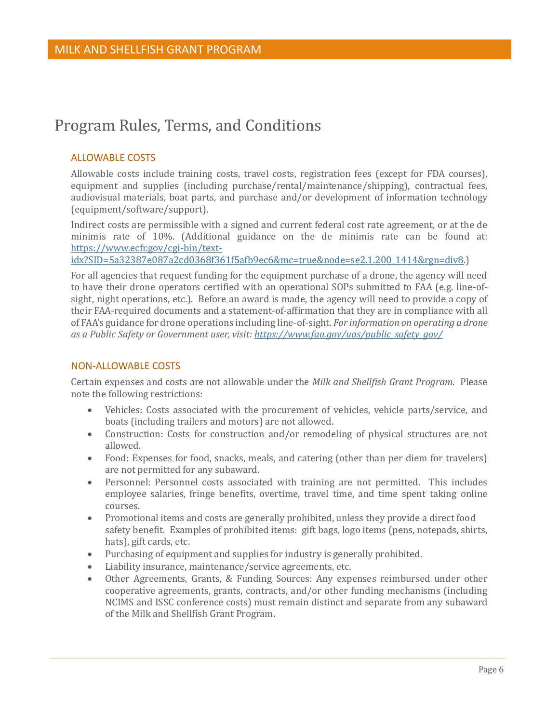## <span id="page-8-0"></span>Program Rules, Terms, and Conditions

#### <span id="page-8-1"></span>ALLOWABLE COSTS

Allowable costs include training costs, travel costs, registration fees (except for FDA courses), equipment and supplies (including purchase/rental/maintenance/shipping), contractual fees, audiovisual materials, boat parts, and purchase and/or development of information technology (equipment/software/support).

Indirect costs are permissible with a signed and current federal cost rate agreement, or at the de minimis rate of 10%. (Additional guidance on the de minimis rate can be found at: [https://www.ecfr.gov/cgi-bin/text-](https://www.ecfr.gov/cgi-bin/text-idx?SID=5a32387e087a2cd0368f361f5afb9ec6&mc=true&node=se2.1.200_1414&rgn=div8)

[idx?SID=5a32387e087a2cd0368f361f5afb9ec6&mc=true&node=se2.1.200\\_1414&rgn=div8.](https://www.ecfr.gov/cgi-bin/text-idx?SID=5a32387e087a2cd0368f361f5afb9ec6&mc=true&node=se2.1.200_1414&rgn=div8))

For all agencies that request funding for the equipment purchase of a drone, the agency will need to have their drone operators certified with an operational SOPs submitted to FAA (e.g. line-ofsight, night operations, etc.). Before an award is made, the agency will need to provide a copy of their FAA-required documents and a statement-of-affirmation that they are in compliance with all of FAA's guidance for drone operations including line-of-sight. *For information on operating a drone as a Public Safety or Government user, visit: [https://www.faa.gov/uas/public\\_safety\\_gov/](https://www.faa.gov/uas/public_safety_gov/)*

#### <span id="page-8-2"></span>NON-ALLOWABLE COSTS

Certain expenses and costs are not allowable under the *Milk and Shellfish Grant Program*. Please note the following restrictions:

- Vehicles: Costs associated with the procurement of vehicles, vehicle parts/service, and boats (including trailers and motors) are not allowed.
- Construction: Costs for construction and/or remodeling of physical structures are not allowed.
- Food: Expenses for food, snacks, meals, and catering (other than per diem for travelers) are not permitted for any subaward.
- Personnel: Personnel costs associated with training are not permitted. This includes employee salaries, fringe benefits, overtime, travel time, and time spent taking online courses.
- Promotional items and costs are generally prohibited, unless they provide a direct food safety benefit. Examples of prohibited items: gift bags, logo items (pens, notepads, shirts, hats), gift cards, etc.
- Purchasing of equipment and supplies for industry is generally prohibited.
- Liability insurance, maintenance/service agreements, etc.
- Other Agreements, Grants, & Funding Sources: Any expenses reimbursed under other cooperative agreements, grants, contracts, and/or other funding mechanisms (including NCIMS and ISSC conference costs) must remain distinct and separate from any subaward of the Milk and Shellfish Grant Program.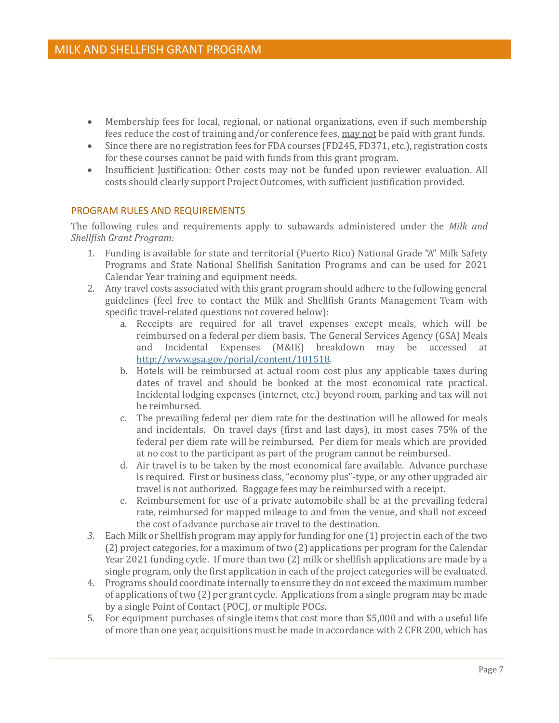- Membership fees for local, regional, or national organizations, even if such membership fees reduce the cost of training and/or conference fees, may not be paid with grant funds.
- Since there are no registration fees for FDA courses (FD245, FD371, etc.), registration costs for these courses cannot be paid with funds from this grant program.
- Insufficient Justification: Other costs may not be funded upon reviewer evaluation. All costs should clearly support Project Outcomes, with sufficient justification provided.

#### <span id="page-9-0"></span>PROGRAM RULES AND REQUIREMENTS

The following rules and requirements apply to subawards administered under the *Milk and Shellfish Grant Program:*

- 1. Funding is available for state and territorial (Puerto Rico) National Grade "A" Milk Safety Programs and State National Shellfish Sanitation Programs and can be used for 2021 Calendar Year training and equipment needs.
- 2. Any travel costs associated with this grant program should adhere to the following general guidelines (feel free to contact the Milk and Shellfish Grants Management Team with specific travel-related questions not covered below):
	- a. Receipts are required for all travel expenses except meals, which will be reimbursed on a federal per diem basis. The General Services Agency (GSA) Meals and Incidental Expenses (M&IE) breakdown may be accessed at [http://www.gsa.gov/portal/content/101518.](http://www.gsa.gov/portal/content/101518)
	- b. Hotels will be reimbursed at actual room cost plus any applicable taxes during dates of travel and should be booked at the most economical rate practical. Incidental lodging expenses (internet, etc.) beyond room, parking and tax will not be reimbursed.
	- c. The prevailing federal per diem rate for the destination will be allowed for meals and incidentals. On travel days (first and last days), in most cases 75% of the federal per diem rate will be reimbursed. Per diem for meals which are provided at no cost to the participant as part of the program cannot be reimbursed.
	- d. Air travel is to be taken by the most economical fare available. Advance purchase is required. First or business class, "economy plus"-type, or any other upgraded air travel is not authorized. Baggage fees may be reimbursed with a receipt.
	- e. Reimbursement for use of a private automobile shall be at the prevailing federal rate, reimbursed for mapped mileage to and from the venue, and shall not exceed the cost of advance purchase air travel to the destination.
- *3.* Each Milk or Shellfish program may apply for funding for one (1) project in each of the two (2) project categories, for a maximum of two (2) applications per program for the Calendar Year 2021 funding cycle. If more than two (2) milk or shellfish applications are made by a single program, only the first application in each of the project categories will be evaluated.
- 4. Programs should coordinate internally to ensure they do not exceed the maximum number of applications of two (2) per grant cycle. Applications from a single program may be made by a single Point of Contact (POC), or multiple POCs.
- 5. For equipment purchases of single items that cost more than \$5,000 and with a useful life of more than one year, acquisitions must be made in accordance with 2 CFR 200, which has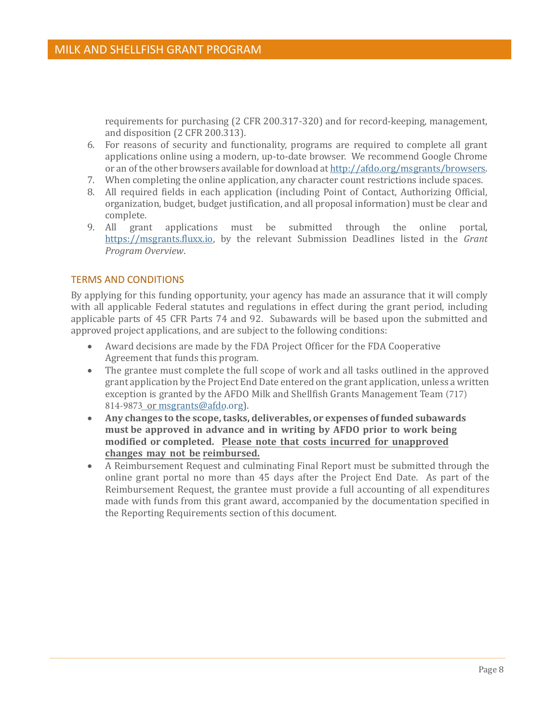requirements for purchasing (2 CFR 200.317-320) and for record-keeping, management, and disposition (2 CFR 200.313).

- 6. For reasons of security and functionality, programs are required to complete all grant applications online using a modern, up-to-date browser. We recommend Google Chrome or an of the other browsers available for download at [http://afdo.org/msgrants/browsers.](http://afdo.org/msgrants/browsers)
- 7. When completing the online application, any character count restrictions include spaces.
- 8. All required fields in each application (including Point of Contact, Authorizing Official, organization, budget, budget justification, and all proposal information) must be clear and complete.
- 9. All grant applications must be submitted through the online portal, [https://msgrants.fluxx.io,](https://msgrants.fluxx.io/) by the relevant Submission Deadlines listed in the *Grant Program Overview*.

#### <span id="page-10-0"></span>TERMS AND CONDITIONS

By applying for this funding opportunity, your agency has made an assurance that it will comply with all applicable Federal statutes and regulations in effect during the grant period, including applicable parts of 45 CFR Parts 74 and 92. Subawards will be based upon the submitted and approved project applications, and are subject to the following conditions:

- Award decisions are made by the FDA Project Officer for the FDA Cooperative Agreement that funds this program.
- The grantee must complete the full scope of work and all tasks outlined in the approved grant application by the Project End Date entered on the grant application, unless a written exception is granted by the AFDO Milk and Shellfish Grants Management Team (717) 814-9873 or [msgrants@afdo.org\).](mailto:msgrants@afdo.org)
- **Any changes to the scope, tasks, deliverables, or expenses of funded subawards must be approved in advance and in writing by AFDO prior to work being modified or completed. Please note that costs incurred for unapproved changes may not be reimbursed.**
- A Reimbursement Request and culminating Final Report must be submitted through the online grant portal no more than 45 days after the Project End Date. As part of the Reimbursement Request, the grantee must provide a full accounting of all expenditures made with funds from this grant award, accompanied by the documentation specified in the Reporting Requirements section of this document.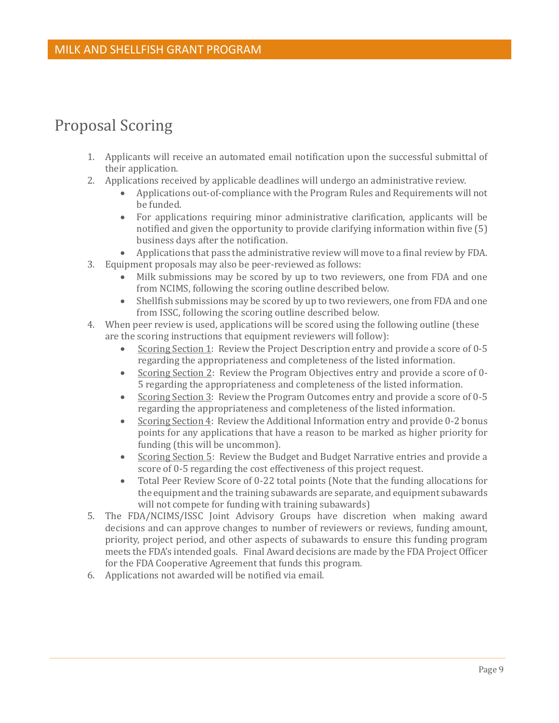## <span id="page-11-0"></span>Proposal Scoring

- 1. Applicants will receive an automated email notification upon the successful submittal of their application.
- 2. Applications received by applicable deadlines will undergo an administrative review.
	- Applications out-of-compliance with the Program Rules and Requirements will not be funded.
	- For applications requiring minor administrative clarification, applicants will be notified and given the opportunity to provide clarifying information within five (5) business days after the notification.
	- Applications that pass the administrative review will move to a final review by FDA.
- 3. Equipment proposals may also be peer-reviewed as follows:
	- Milk submissions may be scored by up to two reviewers, one from FDA and one from NCIMS, following the scoring outline described below.
	- Shellfish submissions may be scored by up to two reviewers, one from FDA and one from ISSC, following the scoring outline described below.
- 4. When peer review is used, applications will be scored using the following outline (these are the scoring instructions that equipment reviewers will follow):
	- Scoring Section 1: Review the Project Description entry and provide a score of 0-5 regarding the appropriateness and completeness of the listed information.
	- Scoring Section 2: Review the Program Objectives entry and provide a score of 0- 5 regarding the appropriateness and completeness of the listed information.
	- Scoring Section 3: Review the Program Outcomes entry and provide a score of 0-5 regarding the appropriateness and completeness of the listed information.
	- Scoring Section 4: Review the Additional Information entry and provide 0-2 bonus points for any applications that have a reason to be marked as higher priority for funding (this will be uncommon).
	- Scoring Section 5: Review the Budget and Budget Narrative entries and provide a score of 0-5 regarding the cost effectiveness of this project request.
	- Total Peer Review Score of 0-22 total points (Note that the funding allocations for the equipment and the training subawards are separate, and equipment subawards will not compete for funding with training subawards)
- 5. The FDA/NCIMS/ISSC Joint Advisory Groups have discretion when making award decisions and can approve changes to number of reviewers or reviews, funding amount, priority, project period, and other aspects of subawards to ensure this funding program meets the FDA's intended goals. Final Award decisions are made by the FDA Project Officer for the FDA Cooperative Agreement that funds this program.
- 6. Applications not awarded will be notified via email.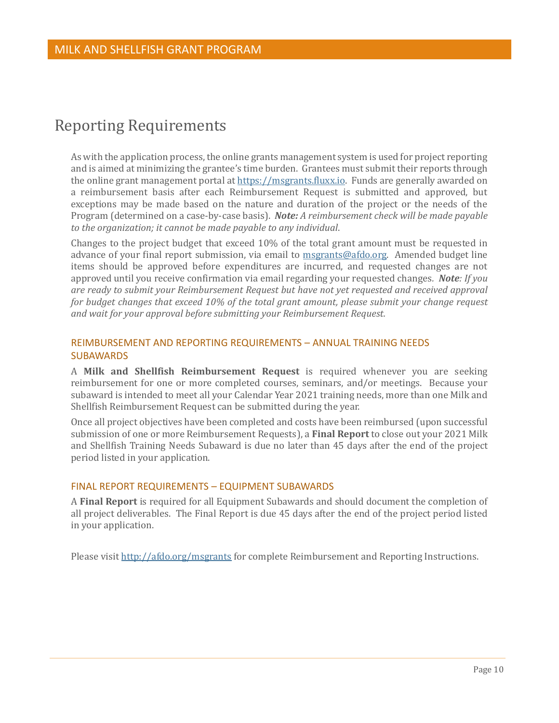## <span id="page-12-0"></span>Reporting Requirements

As with the application process, the online grants management system is used for project reporting and is aimed at minimizing the grantee's time burden. Grantees must submit their reports through the online grant management portal at [https://msgrants.fluxx.io.](https://msgrants.fluxx.io/) Funds are generally awarded on a reimbursement basis after each Reimbursement Request is submitted and approved, but exceptions may be made based on the nature and duration of the project or the needs of the Program (determined on a case-by-case basis). *Note: A reimbursement check will be made payable to the organization; it cannot be made payable to any individual*.

Changes to the project budget that exceed 10% of the total grant amount must be requested in advance of your final report submission, via email to [msgrants@afdo.org.](mailto:msgrants@afdo.org) Amended budget line items should be approved before expenditures are incurred, and requested changes are not approved until you receive confirmation via email regarding your requested changes*. Note: If you are ready to submit your Reimbursement Request but have not yet requested and received approval for budget changes that exceed 10% of the total grant amount, please submit your change request and wait for your approval before submitting your Reimbursement Request.*

#### <span id="page-12-1"></span>REIMBURSEMENT AND REPORTING REQUIREMENTS – ANNUAL TRAINING NEEDS **SUBAWARDS**

A **Milk and Shellfish Reimbursement Request** is required whenever you are seeking reimbursement for one or more completed courses, seminars, and/or meetings. Because your subaward is intended to meet all your Calendar Year 2021 training needs, more than one Milk and Shellfish Reimbursement Request can be submitted during the year.

Once all project objectives have been completed and costs have been reimbursed (upon successful submission of one or more Reimbursement Requests), a **Final Report** to close out your 2021 Milk and Shellfish Training Needs Subaward is due no later than 45 days after the end of the project period listed in your application.

#### <span id="page-12-2"></span>FINAL REPORT REQUIREMENTS – EQUIPMENT SUBAWARDS

A **Final Report** is required for all Equipment Subawards and should document the completion of all project deliverables. The Final Report is due 45 days after the end of the project period listed in your application.

Please visit<http://afdo.org/msgrants> for complete Reimbursement and Reporting Instructions.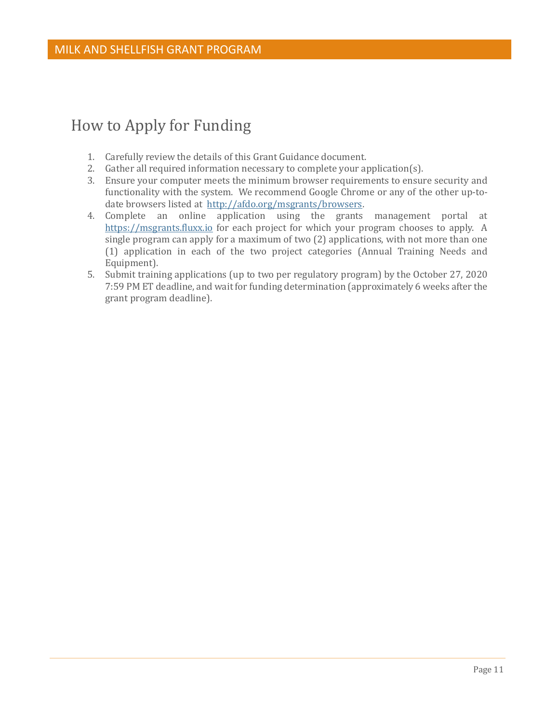## <span id="page-13-0"></span>How to Apply for Funding

- 1. Carefully review the details of this Grant Guidance document.
- 2. Gather all required information necessary to complete your application(s).
- 3. Ensure your computer meets the minimum browser requirements to ensure security and functionality with the system. We recommend Google Chrome or any of the other up-todate browsers listed at [http://afdo.org/msgrants/browsers.](http://afdo.org/msgrants/browsers)
- 4. Complete an online application using the grants management portal at [https://msgrants.fluxx.io](https://msgrants.fluxx.io/) for each project for which your program chooses to apply. A single program can apply for a maximum of two (2) applications, with not more than one (1) application in each of the two project categories (Annual Training Needs and Equipment).
- 5. Submit training applications (up to two per regulatory program) by the October 27, 2020 7:59 PM ET deadline, and wait for funding determination (approximately 6 weeks after the grant program deadline).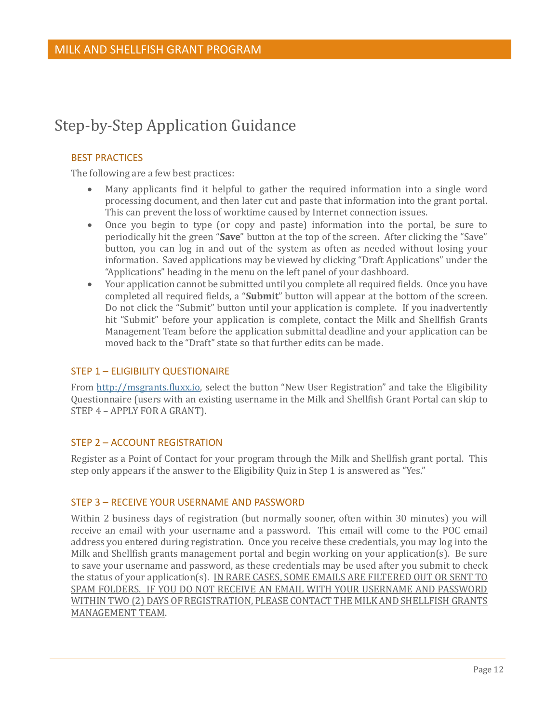## <span id="page-14-0"></span>Step-by-Step Application Guidance

#### <span id="page-14-1"></span>BEST PRACTICES

The following are a few best practices:

- Many applicants find it helpful to gather the required information into a single word processing document, and then later cut and paste that information into the grant portal. This can prevent the loss of worktime caused by Internet connection issues.
- Once you begin to type (or copy and paste) information into the portal, be sure to periodically hit the green "**Save**" button at the top of the screen. After clicking the "Save" button, you can log in and out of the system as often as needed without losing your information. Saved applications may be viewed by clicking "Draft Applications" under the "Applications" heading in the menu on the left panel of your dashboard.
- Your application cannot be submitted until you complete all required fields. Once you have completed all required fields, a "**Submit**" button will appear at the bottom of the screen. Do not click the "Submit" button until your application is complete. If you inadvertently hit "Submit" before your application is complete, contact the Milk and Shellfish Grants Management Team before the application submittal deadline and your application can be moved back to the "Draft" state so that further edits can be made.

#### <span id="page-14-2"></span>STEP 1 – ELIGIBILITY QUESTIONAIRE

From [http://msgrants.fluxx.io,](http://msgrants.fluxx.io/) select the button "New User Registration" and take the Eligibility Questionnaire (users with an existing username in the Milk and Shellfish Grant Portal can skip to STEP 4 – APPLY FOR A GRANT).

#### <span id="page-14-3"></span>STEP 2 – ACCOUNT REGISTRATION

Register as a Point of Contact for your program through the Milk and Shellfish grant portal. This step only appears if the answer to the Eligibility Quiz in Step 1 is answered as "Yes."

#### <span id="page-14-4"></span>STEP 3 – RECEIVE YOUR USERNAME AND PASSWORD

Within 2 business days of registration (but normally sooner, often within 30 minutes) you will receive an email with your username and a password. This email will come to the POC email address you entered during registration. Once you receive these credentials, you may log into the Milk and Shellfish grants management portal and begin working on your application(s). Be sure to save your username and password, as these credentials may be used after you submit to check the status of your application(s). IN RARE CASES, SOME EMAILS ARE FILTERED OUT OR SENT TO SPAM FOLDERS. IF YOU DO NOT RECEIVE AN EMAIL WITH YOUR USERNAME AND PASSWORD WITHIN TWO (2) DAYS OF REGISTRATION, PLEASE CONTACT THE MILK AND SHELLFISH GRANTS MANAGEMENT TEAM.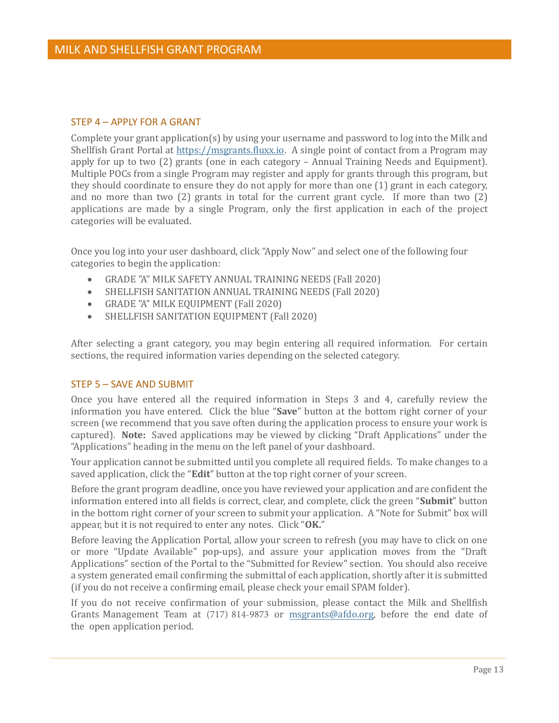#### <span id="page-15-0"></span>STEP 4 – APPLY FOR A GRANT

Complete your grant application(s) by using your username and password to log into the Milk and Shellfish Grant Portal at [https://msgrants.fluxx.io.](https://msgrants.fluxx.io/) A single point of contact from a Program may apply for up to two (2) grants (one in each category – Annual Training Needs and Equipment). Multiple POCs from a single Program may register and apply for grants through this program, but they should coordinate to ensure they do not apply for more than one (1) grant in each category, and no more than two (2) grants in total for the current grant cycle. If more than two (2) applications are made by a single Program, only the first application in each of the project categories will be evaluated.

Once you log into your user dashboard, click "Apply Now" and select one of the following four categories to begin the application:

- GRADE "A" MILK SAFETY ANNUAL TRAINING NEEDS (Fall 2020)
- SHELLFISH SANITATION ANNUAL TRAINING NEEDS (Fall 2020)
- GRADE "A" MILK EQUIPMENT (Fall 2020)
- SHELLFISH SANITATION EQUIPMENT (Fall 2020)

After selecting a grant category, you may begin entering all required information. For certain sections, the required information varies depending on the selected category.

#### <span id="page-15-1"></span>STEP 5 – SAVE AND SUBMIT

Once you have entered all the required information in Steps 3 and 4, carefully review the information you have entered. Click the blue "**Save**" button at the bottom right corner of your screen (we recommend that you save often during the application process to ensure your work is captured). **Note:** Saved applications may be viewed by clicking "Draft Applications" under the "Applications" heading in the menu on the left panel of your dashboard.

Your application cannot be submitted until you complete all required fields. To make changes to a saved application, click the "**Edit**" button at the top right corner of your screen.

Before the grant program deadline, once you have reviewed your application and are confident the information entered into all fields is correct, clear, and complete, click the green "**Submit**" button in the bottom right corner of your screen to submit your application. A "Note for Submit" box will appear, but it is not required to enter any notes. Click "**OK.**"

Before leaving the Application Portal, allow your screen to refresh (you may have to click on one or more "Update Available" pop-ups), and assure your application moves from the "Draft Applications" section of the Portal to the "Submitted for Review" section. You should also receive a system generated email confirming the submittal of each application, shortly after it is submitted (if you do not receive a confirming email, please check your email SPAM folder).

If you do not receive confirmation of your submission, please contact the Milk and Shellfish Grants Management Team at (717) 814-9873 or [msgrants@afdo.org,](mailto:msgrants@afdo.org) before the end date of the open application period.